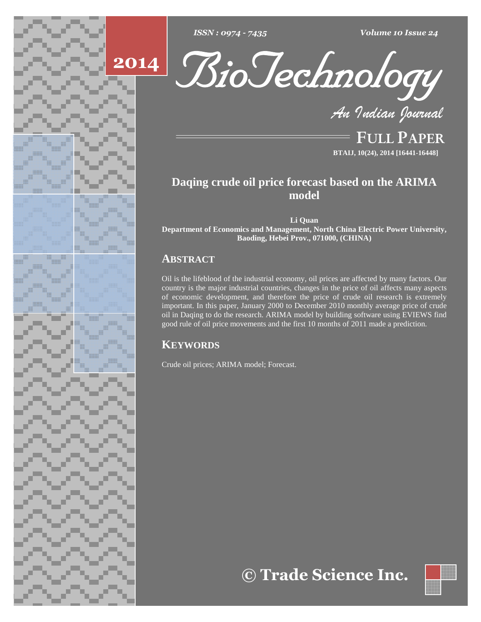

*: <sup>0974</sup> - <sup>7435</sup> Volume <sup>10</sup> Issue <sup>24</sup>*





**FULL PAPER BTAIJ, 10(24), 2014 [16441-16448]**

# **Daqing crude oil price forecast based on the ARIMA model**

**Li Quan**

**Department of Economics and Management, North China Electric Power University, Baoding, Hebei Prov., 071000, (CHINA)**

# **ABSTRACT**

Oil is the lifeblood of the industrial economy, oil prices are affected by many factors. Our country is the major industrial countries, changes in the price of oil affects many aspects of economic development, and therefore the price of crude oil research is extremely important. In this paper, January 2000 to December 2010 monthly average price of crude oil in Daqing to do the research. ARIMA model by building software using EVIEWS find good rule of oil price movements and the first 10 months of 2011 made a prediction.

# **KEYWORDS**

Crude oil prices; ARIMA model; Forecast.

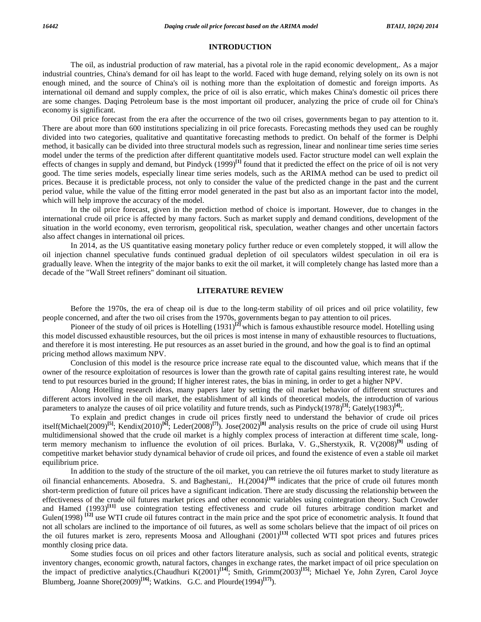### **INTRODUCTION**

The oil, as industrial production of raw material, has a pivotal role in the rapid economic development,. As a major industrial countries, China's demand for oil has leapt to the world. Faced with huge demand, relying solely on its own is not enough mined, and the source of China's oil is nothing more than the exploitation of domestic and foreign imports. As international oil demand and supply complex, the price of oil is also erratic, which makes China's domestic oil prices there are some changes. Daqing Petroleum base is the most important oil producer, analyzing the price of crude oil for China's economy is significant.

Oil price forecast from the era after the occurrence of the two oil crises, governments began to pay attention to it. There are about more than 600 institutions specializing in oil price forecasts. Forecasting methods they used can be roughly divided into two categories, qualitative and quantitative forecasting methods to predict. On behalf of the former is Delphi method, it basically can be divided into three structural models such as regression, linear and nonlinear time series time series model under the terms of the prediction after different quantitative models used. Factor structure model can well explain the effects of changes in supply and demand, but Pindyck (1999)<sup>[1]</sup> found that it predicted the effect on the price of oil is not very good. The time series models, especially linear time series models, such as the ARIMA method can be used to predict oil prices. Because it is predictable process, not only to consider the value of the predicted change in the past and the current period value, while the value of the fitting error model generated in the past but also as an important factor into the model, which will help improve the accuracy of the model.

In the oil price forecast, given in the prediction method of choice is important. However, due to changes in the international crude oil price is affected by many factors. Such as market supply and demand conditions, development of the situation in the world economy, even terrorism, geopolitical risk, speculation, weather changes and other uncertain factors also affect changes in international oil prices.

In 2014, as the US quantitative easing monetary policy further reduce or even completely stopped, it will allow the oil injection channel speculative funds continued gradual depletion of oil speculators wildest speculation in oil era is gradually leave. When the integrity of the major banks to exit the oil market, it will completely change has lasted more than a decade of the "Wall Street refiners" dominant oil situation.

#### **LITERATURE REVIEW**

Before the 1970s, the era of cheap oil is due to the long-term stability of oil prices and oil price volatility, few people concerned, and after the two oil crises from the 1970s, governments began to pay attention to oil prices.

Pioneer of the study of oil prices is Hotelling (1931) **[2]** which is famous exhaustible resource model. Hotelling using this model discussed exhaustible resources, but the oil prices is most intense in many of exhaustible resources to fluctuations, and therefore it is most interesting. He put resources as an asset buried in the ground, and how the goal is to find an optimal pricing method allows maximum NPV.

Conclusion of this model is the resource price increase rate equal to the discounted value, which means that if the owner of the resource exploitation of resources is lower than the growth rate of capital gains resulting interest rate, he would tend to put resources buried in the ground; If higher interest rates, the bias in mining, in order to get a higher NPV.

Along Hotelling research ideas, many papers later by setting the oil market behavior of different structures and different actors involved in the oil market, the establishment of all kinds of theoretical models, the introduction of various parameters to analyze the causes of oil price volatility and future trends, such as Pindyck(1978) **[3]**; Gately(1983) **[4]**;.

To explain and predict changes in crude oil prices firstly need to understand the behavior of crude oil prices itself(Michael(2009) **[5]**; Kendix(2010) **[6]**; Leder(2008) **[7]**). Jose(2002) **[8]** analysis results on the price of crude oil using Hurst multidimensional showed that the crude oil market is a highly complex process of interaction at different time scale, longterm memory mechanism to influence the evolution of oil prices. Burlaka, V. G.,Sherstyxik, R. V(2008) **[9]** usding of competitive market behavior study dynamical behavior of crude oil prices, and found the existence of even a stable oil market equilibrium price.

In addition to the study of the structure of the oil market, you can retrieve the oil futures market to study literature as oil financial enhancements. Abosedra, S. and Baghestani,, H.(2004)<sup>[10]</sup> indicates that the price of crude oil futures month short-term prediction of future oil prices have a significant indication. There are study discussing the relationship between the effectiveness of the crude oil futures market prices and other economic variables using cointegration theory. Such Crowder and Hamed (1993) **[11]** use cointegration testing effectiveness and crude oil futures arbitrage condition market and Gulen(1998)<sup>[12]</sup> use WTI crude oil futures contract in the main price and the spot price of econometric analysis. It found that not all scholars are inclined to the importance of oil futures, as well as some scholars believe that the impact of oil prices on the oil futures market is zero, represents Moosa and Alloughani (2001) **[13]** collected WTI spot prices and futures prices monthly closing price data.

Some studies focus on oil prices and other factors literature analysis, such as social and political events, strategic inventory changes, economic growth, natural factors, changes in exchange rates, the market impact of oil price speculation on the impact of predictive analytics.(Chaudhuri K(2001) **[14]**; Smith, Grimm(2003) **[15]**; Michael Ye, John Zyren, Carol Joyce Blumberg, Joanne Shore(2009)<sup>[16]</sup>; Watkins, G.C. and Plourde(1994)<sup>[17]</sup>).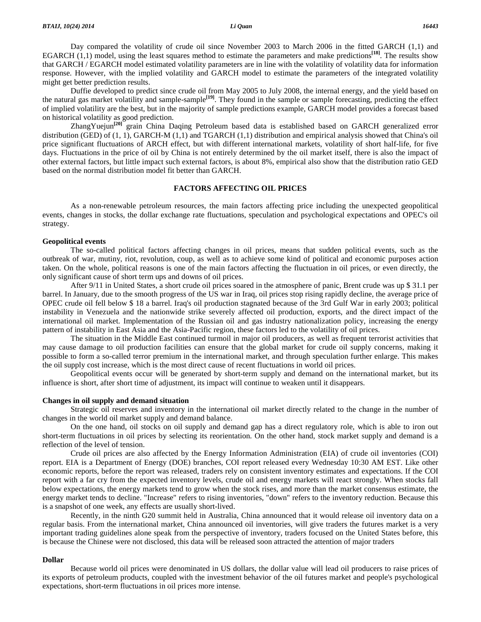Day compared the volatility of crude oil since November 2003 to March 2006 in the fitted GARCH (1,1) and EGARCH (1,1) model, using the least squares method to estimate the parameters and make predictions **[18]**. The results show that GARCH / EGARCH model estimated volatility parameters are in line with the volatility of volatility data for information response. However, with the implied volatility and GARCH model to estimate the parameters of the integrated volatility might get better prediction results.

Duffie developed to predict since crude oil from May2005 to July 2008, the internal energy, and the yield based on the natural gas market volatility and sample-sample **[19]**. They found in the sample or sample forecasting, predicting the effect of implied volatility are the best, but in the majority of sample predictions example, GARCH model provides a forecast based on historical volatility as good prediction.

ZhangYuejun<sup>[20]</sup> grain China Daqing Petroleum based data is established based on GARCH generalized error distribution (GED) of (1, 1), GARCH-M (1,1) and TGARCH (1,1) distribution and empirical analysis showed that China's oil price significant fluctuations of ARCH effect, but with different international markets, volatility of short half-life, for five days. Fluctuations in the price of oil by China is not entirely determined by the oil market itself, there is also the impact of other external factors, but little impact such external factors, is about 8%, empirical also show that the distribution ratio GED based on the normal distribution model fit better than GARCH.

#### **FACTORS AFFECTING OIL PRICES**

As a non-renewable petroleum resources, the main factors affecting price including the unexpected geopolitical events, changes in stocks, the dollar exchange rate fluctuations, speculation and psychological expectations and OPEC's oil strategy.

## **Geopolitical events**

The so-called political factors affecting changes in oil prices, means that sudden political events, such as the outbreak of war, mutiny, riot, revolution, coup, as well as to achieve some kind of political and economic purposes action taken. On the whole, political reasons is one of the main factors affecting the fluctuation in oil prices, or even directly, the only significant cause of short term ups and downs of oil prices.

After 9/11 in United States, a short crude oil prices soared in the atmosphere of panic, Brent crude was up \$ 31.1 per barrel. In January, due to the smooth progress of the US war in Iraq, oil prices stop rising rapidly decline, the average price of OPEC crude oil fell below \$ 18 a barrel. Iraq's oil production stagnated because of the 3rd Gulf War in early 2003; political instability in Venezuela and the nationwide strike severely affected oil production, exports, and the direct impact of the international oil market. Implementation of the Russian oil and gas industry nationalization policy, increasing the energy pattern of instability in East Asia and the Asia-Pacific region, these factors led to the volatility of oil prices.

The situation in the Middle East continued turmoil in major oil producers, as well as frequent terrorist activities that may cause damage to oil production facilities can ensure that the global market for crude oil supply concerns, making it possible to form a so-called terror premium in the international market, and through speculation further enlarge. This makes the oil supply cost increase, which is the most direct cause of recent fluctuations in world oil prices.

Geopolitical events occur will be generated by short-term supply and demand on the international market, but its influence is short, after short time of adjustment, its impact will continue to weaken until it disappears.

### **Changes in oil supply and demand situation**

Strategic oil reserves and inventory in the international oil market directly related to the change in the number of changes in the world oil market supply and demand balance.

On the one hand, oil stocks on oil supply and demand gap has a direct regulatory role, which is able to iron out short-term fluctuations in oil prices by selecting its reorientation. On the other hand, stock market supply and demand is a reflection of the level of tension.

Crude oil prices are also affected by the Energy Information Administration (EIA) of crude oil inventories (COI) report. EIA is a Department of Energy (DOE) branches, COI report released every Wednesday 10:30 AM EST. Like other economic reports, before the report was released, traders rely on consistent inventory estimates and expectations. If the COI report with a far cry from the expected inventory levels, crude oil and energy markets will react strongly. When stocks fall below expectations, the energy markets tend to grow when the stock rises, and more than the market consensus estimate, the energy market tends to decline. "Increase" refers to rising inventories, "down" refers to the inventory reduction. Because this is a snapshot of one week, any effects are usually short-lived.

Recently, in the ninth G20 summit held in Australia, China announced that it would release oil inventory data on a regular basis. From the international market, China announced oil inventories, will give traders the futures market is a very important trading guidelines alone speak from the perspective of inventory, traders focused on the United States before, this is because the Chinese were not disclosed, this data will be released soon attracted the attention of major traders

#### **Dollar**

Because world oil prices were denominated in US dollars, the dollar value will lead oil producers to raise prices of its exports of petroleum products, coupled with the investment behavior of the oil futures market and people's psychological expectations, short-term fluctuations in oil prices more intense.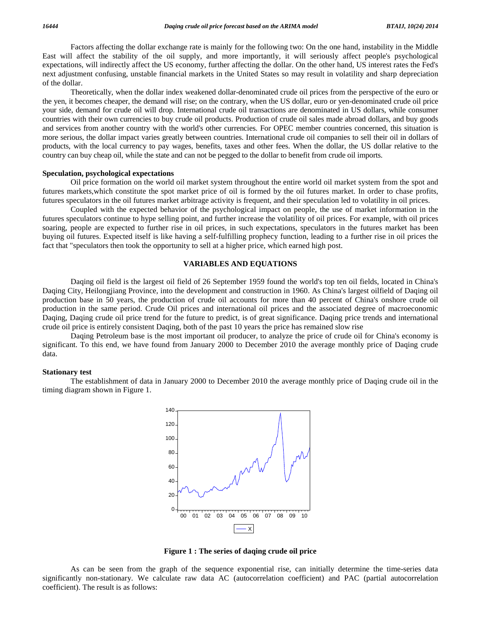Factors affecting the dollar exchange rate is mainly for the following two: On the one hand, instability in the Middle East will affect the stability of the oil supply, and more importantly, it will seriously affect people's psychological expectations, will indirectly affect the US economy, further affecting the dollar. On the other hand, US interest rates the Fed's next adjustment confusing, unstable financial markets in the United States so may result in volatility and sharp depreciation of the dollar.

Theoretically, when the dollar index weakened dollar-denominated crude oil prices from the perspective of the euro or the yen, it becomes cheaper, the demand will rise; on the contrary, when the US dollar, euro or yen-denominated crude oil price your side, demand for crude oil will drop. International crude oil transactions are denominated in US dollars, while consumer countries with their own currencies to buy crude oil products. Production of crude oil sales made abroad dollars, and buy goods and services from another country with the world's other currencies. For OPEC member countries concerned, this situation is more serious, the dollar impact varies greatly between countries. International crude oil companies to selltheir oil in dollars of products, with the local currency to pay wages, benefits, taxes and other fees. When the dollar, the US dollar relative to the country can buy cheap oil, while the state and can not be pegged to the dollar to benefit from crude oilimports.

#### **Speculation, psychological expectations**

Oil price formation on the world oil market system throughout the entire world oil market system from the spot and futures markets,which constitute the spot market price of oil is formed by the oil futures market. In order to chase profits, futures speculators in the oil futures market arbitrage activity is frequent, and their speculation led to volatility in oil prices.

Coupled with the expected behavior of the psychological impact on people, the use of market information in the futures speculators continue to hype selling point, and further increase the volatility of oil prices. For example, with oil prices soaring, people are expected to further rise in oil prices, in such expectations, speculators in the futures market has been buying oil futures. Expected itself is like having a self-fulfilling prophecy function, leading to a further rise in oil prices the fact that "speculators then took the opportunity to sellat a higher price, which earned high post.

## **VARIABLES AND EQUATIONS**

Daqing oil field is the largest oil field of 26 September 1959 found the world's top ten oil fields, located in China's Daqing City, Heilongjiang Province, into the development and construction in 1960. As China's largest oilfield of Daqing oil production base in 50 years, the production of crude oil accounts for more than 40 percent of China's onshore crude oil production in the same period. Crude Oil prices and international oil prices and the associated degree of macroeconomic Daqing, Daqing crude oil price trend for the future to predict, is of great significance. Daqing price trends and international crude oil price is entirely consistent Daqing, both of the past 10 years the price has remained slow rise

Daqing Petroleum base is the most important oil producer, to analyze the price of crude oil for China's economy is significant. To this end, we have found from January 2000 to December 2010 the average monthly price of Daqing crude data.

# **Stationary test**

The establishment of data in January 2000 to December 2010 the average monthly price of Daqing crude oil in the timing diagram shown in Figure 1.



**Figure 1 : The series of daqing crude oil price**

As can be seen from the graph of the sequence exponential rise, can initially determine the time-series data significantly non-stationary. We calculate raw data AC (autocorrelation coefficient) and PAC (partial autocorrelation coefficient). The result is as follows: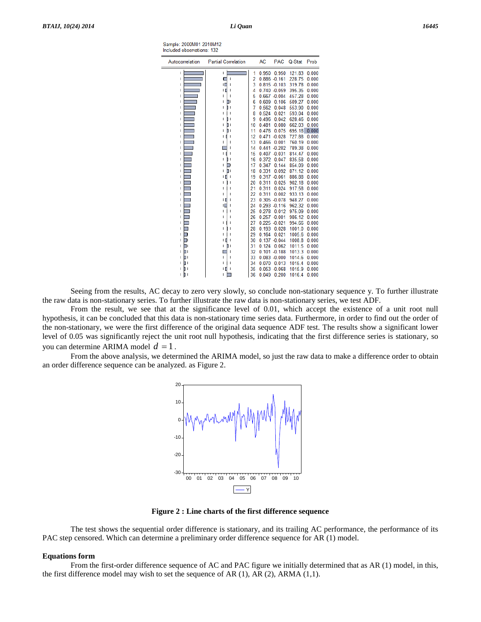| Sample: 2000M01 2010M12    |  |
|----------------------------|--|
| Included observations: 132 |  |
|                            |  |

| Autocorrelation | <b>Partial Correlation</b> |                | <b>AC</b> | <b>PAC</b>      | Q-Stat | Prob  |
|-----------------|----------------------------|----------------|-----------|-----------------|--------|-------|
| T               | L                          | 1              | 0.950     | 0.950           | 121.83 | 0.000 |
| I               | ı                          | $\overline{2}$ |           | $0.886 - 0.161$ | 228.75 | 0.000 |
| ı               | ıГ                         | 3              |           | $0.815 - 0.103$ | 319.78 | 0.000 |
| I               | ۱                          | 4              |           | $0.740 - 0.059$ | 395.35 | 0.000 |
| ı               |                            | 5              |           | $0.667 - 0.004$ | 457.28 | 0.000 |
| ı               | Π.<br>ı                    | 6              | 0.609     | 0.106           | 509.27 | 0.000 |
| ı               | I                          | 7              | 0.562     | 0.048           | 553.90 | 0.000 |
| ı               | ı                          | 8              | 0.524     | 0.021           | 593.04 | 0.000 |
| ı               | ī<br>I                     | 9              | 0.496     | 0.042           | 628.46 | 0.000 |
| ı               | ħ۱                         | 10             | 0.481     | 0.080           | 662.03 | 0.000 |
| I               | b١<br>ı                    | 11             | 0.476     | 0.075           | 695.18 | 0.000 |
| I               |                            | 12             |           | $0.471 - 0.028$ | 727.88 | 0.000 |
| ı               | ı                          | 13             | 0.466     | 0.001           | 760.19 | 0.000 |
| ı               | ı                          | 14             |           | $0.441 - 0.202$ | 789.38 | 0.000 |
| I               | ı<br>I                     | 15             |           | $0.407 - 0.031$ | 814.47 | 0.000 |
| ı               | I<br>ı                     | 16             | 0.372     | 0.047           | 835.58 | 0.000 |
| ı               |                            | 17             | 0.347     | 0.144           | 854.09 | 0.000 |
| I               | ΠI<br>ı                    | 18             | 0.331     | 0.092           | 871.12 | 0.000 |
| ı               | ı                          | 19             |           | $0.317 - 0.061$ | 886.88 | 0.000 |
| ı               |                            | 20             | 0.311     | 0.025           | 902.18 | 0.000 |
| ı               |                            | 21             | 0.311     | 0.024           | 917.58 | 0.000 |
| ı               | ı                          | 22             | 0.311     | 0.002           | 933.13 | 0.000 |
| I               | ١I                         | 23             |           | $0.305 - 0.078$ | 948.27 | 0.000 |
| ı               | ıГ                         | 24             |           | $0.293 - 0.116$ | 962.32 | 0.000 |
| ı               | ı                          | 25             | 0.278     | 0.012           | 975.09 | 0.000 |
| ı               | ı                          | 26             |           | $0.257 - 0.001$ | 986.12 | 0.000 |
| ı               |                            | 27             |           | $0.225 - 0.021$ | 994.66 | 0.000 |
| ı               |                            | 28             | 0.193     | 0.028           | 1001.0 | 0.000 |
| ı               |                            | 29             | 0.164     | 0.021           | 1005.6 | 0.000 |
| ı               |                            | 30             |           | $0.137 - 0.044$ | 1008.8 | 0.000 |
| ור<br>ı         | I<br>ı                     | 31             | 0.124     | 0.062           | 1011.5 | 0.000 |
| ור<br>ı         |                            | 32             |           | $0.101 - 0.188$ | 1013.3 | 0.000 |
| h١<br>ı         | ı                          | 33             |           | $0.083 - 0.000$ | 1014.6 | 0.000 |
| П١<br>ı         | ı                          | 34             | 0.070     | 0.013           | 1015.4 | 0.000 |
| n 1<br>ı        | ш                          | 35             |           | $0.053 - 0.068$ | 1015.9 | 0.000 |
| b١<br>T         | ı                          | 36             | 0.049     | 0.200           | 1016.4 | 0.000 |

Seeing from the results, AC decay to zero very slowly, so conclude non-stationary sequence y. To further illustrate the raw data is non-stationary series. To further illustrate the raw data is non-stationary series, we test ADF.

From the result, we see that at the significance level of 0.01, which accept the existence of a unit root null hypothesis, it can be concluded that this data is non-stationary time series data. Furthermore, in order to find out the order of the non-stationary, we were the first difference of the original data sequence ADF test. The results show a significant lower level of 0.05 was significantly reject the unit root null hypothesis, indicating that the first difference series is stationary, so Hyponesis, it can be concluded that this data is non-<br>the non-stationary, we were the first difference of the<br>level of 0.05 was significantly reject the unit root r<br>you can determine ARIMA model  $d = 1$ .

From the above analysis, we determined the ARIMA model, so just the raw data to make a difference order to obtain an order difference sequence can be analyzed. as Figure 2.



**Figure 2 : Line charts of the first difference sequence**

The test shows the sequential order difference is stationary, and its trailing AC performance, the performance of its PAC step censored. Which can determine a preliminary order difference sequence for AR (1) model.

#### **Equations form**

From the first-order difference sequence of AC and PAC figure we initially determined that as AR (1) model, in this, the first difference model may wish to set the sequence of AR  $(1)$ , AR  $(2)$ , ARMA  $(1,1)$ .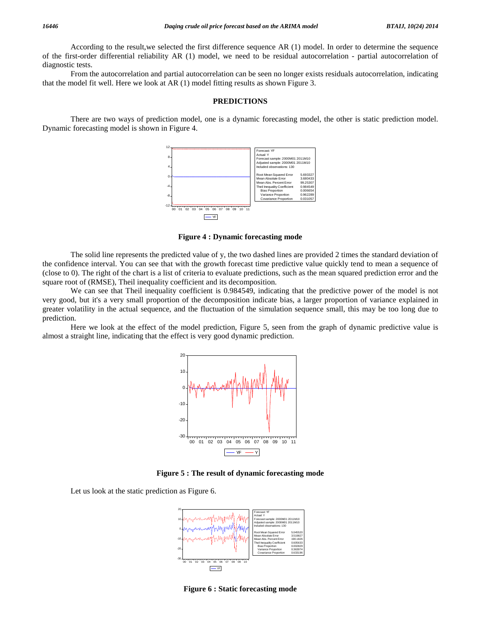According to the result,we selected the first difference sequence AR (1) model. In order to determine the sequence of the first-order differential reliability AR (1) model, we need to be residual autocorrelation - partial autocorrelation of diagnostic tests.

From the autocorrelation and partial autocorrelation can be seen no longer exists residuals autocorrelation, indicating that the model fit well. Here we look at AR (1) model fitting results as shown Figure 3.

#### **PREDICTIONS**

There are two ways of prediction model, one is a dynamic forecasting model, the other is static prediction model. Dynamic forecasting model is shown in Figure 4.



**Figure 4 : Dynamic forecasting mode**

The solid line represents the predicted value of y, the two dashed lines are provided 2 times the standard deviation of the confidence interval. You can see that with the growth forecast time predictive value quickly tend to mean a sequence of (close to 0). The right of the chart is a list of criteria to evaluate predictions, such as the mean squared prediction error and the square root of (RMSE), Theil inequality coefficient and its decomposition.

We can see that Theil inequality coefficient is 0.984549, indicating that the predictive power of the model is not very good, but it's a very small proportion of the decomposition indicate bias, a larger proportion of variance explained in greater volatility in the actual sequence, and the fluctuation of the simulation sequence small, this may be too long due to prediction.

Here we look at the effect of the model prediction, Figure 5, seen from the graph of dynamic predictive value is almost a straight line, indicating that the effect is very good dynamic prediction.



**Figure 5 : The result of dynamic forecasting mode**

Let us look at the static prediction as Figure 6.



**Figure 6 : Static forecasting mode**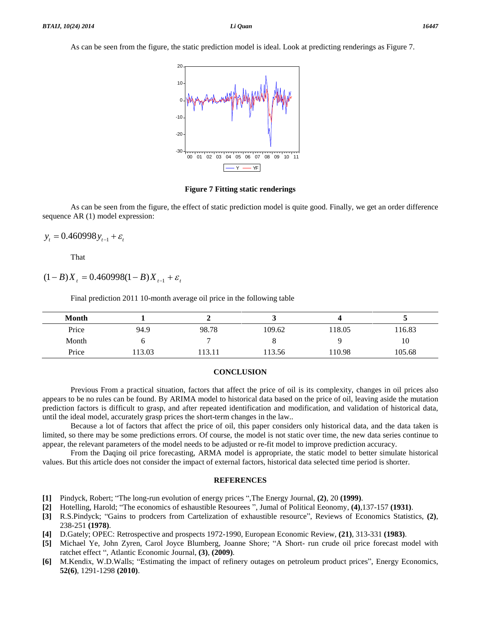As can be seen from the figure, the static prediction model is ideal. Look at predicting renderings as Figure 7.



**Figure 7 Fitting static renderings**

As can be seen from the figure, the effect of static prediction model is quite good. Finally, we get an order difference sequence AR (1) model expression:<br> $y_t = 0.460998 y_{t-1} + \varepsilon_t$ 

That

 $(1-B)X_t = 0.460998(1-B)X_{t-1} + \varepsilon_t$ 

Final prediction 2011 10-month average oil price in the following table

| <b>Month</b> |       |        |        |       |        |
|--------------|-------|--------|--------|-------|--------|
| Price        | 94.9  | 98.78  | 109.62 | 18.05 | 116.83 |
| Month        |       |        |        |       | 10     |
| Price        | 13.03 | 113.11 | 13.56  | 10.98 | 105.68 |

## **CONCLUSION**

Previous From a practical situation, factors that affect the price of oil is its complexity, changes in oil prices also appears to be no rules can be found. By ARIMA model to historical data based on the price of oil, leaving aside the mutation prediction factors is difficult to grasp, and after repeated identification and modification, and validation ofhistorical data, until the ideal model, accurately grasp prices the short-term changes in the law..

Because a lot of factors that affect the price of oil, this paper considers only historical data, and the data taken is limited, so there may be some predictions errors. Of course, the model is not static over time, the new data series continue to appear, the relevant parameters of the model needs to be adjusted or re-fit model to improve prediction accuracy.

From the Daqing oil price forecasting, ARMA model is appropriate, the static model to better simulate historical values. But this article does not consider the impact of external factors, historical data selected time period is shorter.

### **REFERENCES**

- **[1]** Pindyck, Robert; "The long-run evolution of energy prices ",The Energy Journal, **(2)**, 20 **(1999)**.
- **[2]** Hotelling, Harold; <sup>ì</sup>The economics of eshaustible Resourees <sup>î</sup>, Jumal of Political Eeonomy, **(4)**,137-157 **(1931)**. 11 Pindyck, Robert; "The long-run evolution of energy prices ",The Energy Journal, (2), 20 (1999).<br>[2] Hotelling, Harold; "The economics of eshaustible Resources ", Jumal of Political Eeonomy, (4),137-157 (1931).<br>[3] R.S.P
- 238-251 **(1978)**. <sup>238-251</sup> (1978).<br>
[4] D.Gately; OPEC: Retrospective and prospects 1972-1990, European Economic Review, (21), 313-331 (1983).<br>
[5] Michael Ye, John Zyren, Carol Joyce Blumberg, Joanne Shore; "A Short- run crude oil price f
- **[4]** D.Gately; OPEC: Retrospective and prospects 1972-1990, European Economic Review, **(21)**, 313-331 **(1983)**.
- D. Gately; OPEC: Retrospective and prospects 1972-1990, E<br>Michael Ye, John Zyren, Carol Joyce Blumberg, Joanne<br>ratchet effect ", Atlantic Economic Journal, (3), (2009). **[5]** Michael Ye, John Zyren, Carol Joyce Blumberg, Joanne Shore; "A Short- run crude oil price forecast model with ratchet effect ", Atlantic Economic Journal, (3), (2009).<br>**[6]** M.Kendix, W.D.Walls; "Estimating the impac
- **52(6)**, 1291-1298 **(2010)**.